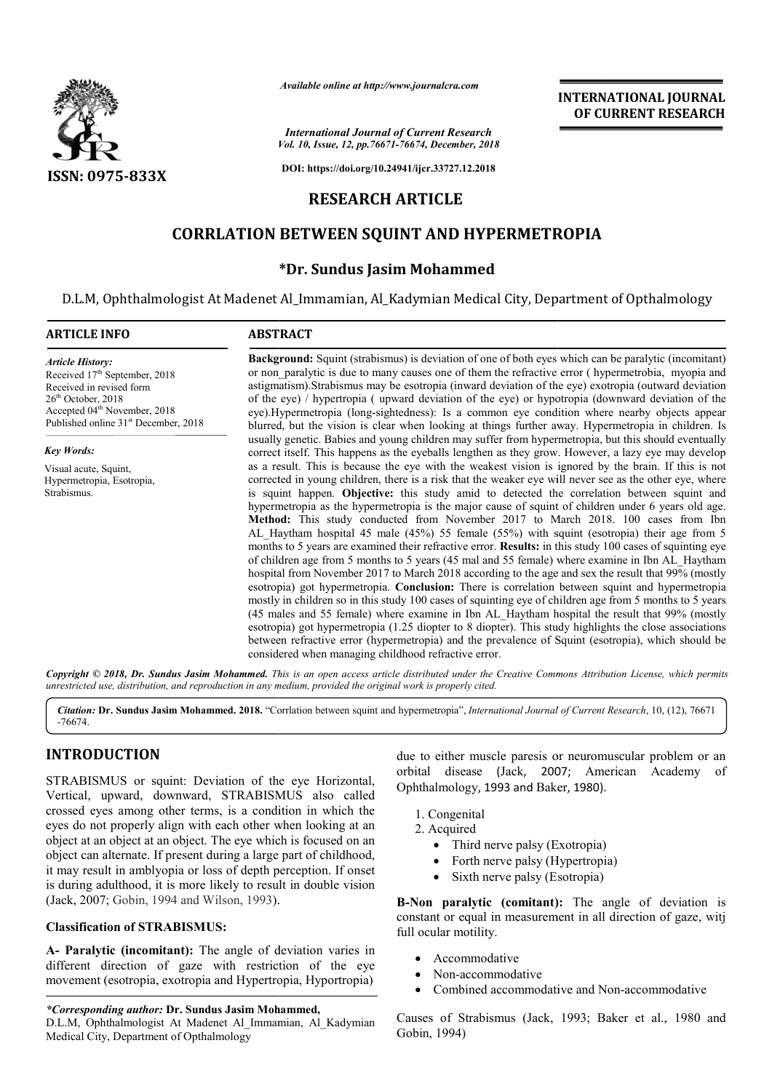

*Available online at http://www.journalcra.com*

*Vol. 10, Issue, 12, pp. pp.76671-76674, December, 2018 International Journal of Current Research*

**DOI: https://doi.org/10.24941/ijcr.33727.12.2018**

## **RESEARCH ARTICLE**

## **CORRLATION BETWEEN SQUINT AND HYPERMETROPIA**

## **\*Dr. Sundus Jasim Mohammed**

D.L.M, Ophthalmologist At Madenet Al\_Immamian, Al\_Kadymian Medical City, Department of Opthalmology

#### **ARTICLE INFO ABSTRACT**

*Article History:* Received 17<sup>th</sup> September, 2018 Received in revised form 26<sup>th</sup> October, 2018 Accepted 04<sup>th</sup> November, 2018 Published online 31<sup>st</sup> December, 2018

#### *Key Words:*

Visual acute, Squint, Hypermetropia, Esotropia, Strabismus.

**Background:** Squint (strabismus) is deviation of one of both eyes which can be paralytic (incomitant) or non\_paralytic is due to many causes one of them the refractive error ( hypermetrobia, myopia and astigmatism).Strabismus may be esotropia (inward deviation of the of the eye) / hypertropia ( upward deviation of the eye) or hypotropia (downward deviation of the eye).Hypermetropia (long-sightedness): Is a common eye condition where nearby objects appear blurred, but the vision is clear when looking at things further away. Hypermetropia in children. Is usually genetic. Babies and young children may suffer from hypermetropia, but this should eventually of the eye) / hypertropia ( upward deviation of the eye) or hypotropia (downward deviation of the eye). Hypermetropia (long-sightedness): Is a common eye condition where nearby objects appear blurred, but the vision is cle as a result. This is because the eye with the weakest vision is ignored by the brain. If this is not corrected in young children, there is a risk that the weaker eye will never see as the other eye, where as a result. This is because the eye with the weakest vision is ignored by the brain. If this is not corrected in young children, there is a risk that the weaker eye will never see as the other eye, where is squint happen. hypermetropia as the hypermetropia is the major cause of squint of children under 6 years old age. **Method:**  This study conducted from November 2017 to March 2018. 100 cases from Ibn AL\_Haytham hospital 45 male (45%) 55 female (55%) with squint (esotropia) their age from 5 months to 5 years are examined their refractive error. **Results:** in this study 100 cases of squinting eye of children age from 5 months to 5 years (45 mal and 55 female) where examine i hospital from November 2017 to March 2018 according to the age and sex the result that 99% (mostly esotropia) got hypermetropia. **Conclusion:** There is correlation between squint and hypermetropia mostly in children so in this study 100 cases of squinting eye of children age from 5 months to 5 years (45 males and 55 female) where examine in Ibn AL\_Haytham hospital the result that 99% (mostly esotropia) got hypermetropia (1.25 diopter to 8 diopter). This study highlights the close associations between refractive error ( (hypermetropia) and the prevalence of Squint (esotropia), which should be considered when managing childhood refractive error. **Background:** Squint (strabismus) is deviation of one of both eyes which can be paralytic (incomitant) or non\_paralytic is due to many causes one of them the refractive error ( hypermetrobia, myopia and astigmatism).Strabi hypermetropia as the hypermetropia is the major cause of squint of children under 6 years old age.<br> **Method:** This study conducted from November 2017 to March 2018. 100 cases from Ibn AL\_Haytham hospital 45 male (45%) 55 f hospital from November 2017 to March 2018 according to the age and sex the result that 99% (mostly esotropia) got hypermetropia. **Conclusion:** There is correlation between squint and hypermetropia mostly in children so in

Copyright © 2018, Dr. Sundus Jasim Mohammed. This is an open access article distributed under the Creative Commons Attribution License, which permits *unrestricted use, distribution, and reproduction in any medium, provided the original work is properly cited.*

Citation: Dr. Sundus Jasim Mohammed. 2018. "Corrlation between squint and hypermetropia", International Journal of Current Research, 10, (12), 76671 -76674.

# **INTRODUCTION**

STRABISMUS or squint: Deviation of the eye Horizontal, Vertical, upward, downward, STRABISMUS also called crossed eyes among other terms, is a condition in which the eyes do not properly align with each other when looking at an object at an object at an object. The eye which is focused on an object can alternate. If present during a large part of childhood, it may result in amblyopia or loss of depth perception. If onset is during adulthood, it is more likely to result in double vision (Jack, 2007; Gobin, 1994 and Wilson, 1993).

### **Classification of STRABISMUS:**

**(Jack, 2007; Gobin, 1994 and Wilson, 1993).<br><b>Classification of STRABISMUS:**<br>**A- Paralytic (incomitant):** The angle of deviation varies in different direction of gaze with restriction of the eye movement (esotropia, exotropia and Hypertropia, Hyportropia)

*\*Corresponding author:* **Dr. Sundus Jasim Mohammed Mohammed,** D.L.M, Ophthalmologist At Madenet Al\_Immamian, Al\_Kadymian Medical City, Department of Opthalmology

due to either muscle paresis or neuromuscular problem or an orbital disease (Jack, 2007; American Academy of Ophthalmology, 1993 and Baker Baker, 1980).

- 1. Congenital
- 2. Acquired
	- Third nerve palsy (Exotropia)
	- Third nerve palsy (Exotropia)<br>• Forth nerve palsy (Hypertropia)
	- Sixth nerve palsy (Esotropia)

**B-Non paralytic (comitant):** The angle of deviation is constant or equal in measurement in all direction of gaze, witj full ocular motility.

- Accommodative
- Non-accommodative
- Combined accommodative and Non-accommodative

Causes of Strabismus (Jack, 1993; Baker et al., 1980 and Gobin, 1994)

## **INTERNATIONAL JOURNAL OF CURRENT RESEARCH**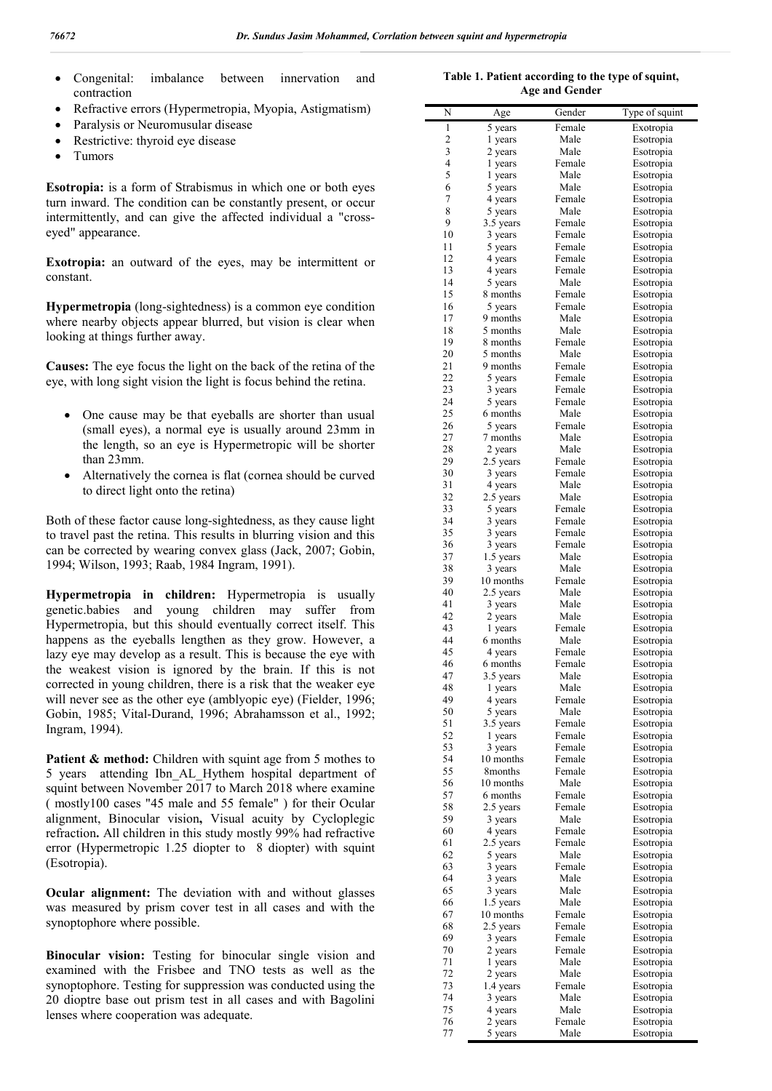- Congenital: imbalance between innervation and contraction
- Refractive errors (Hypermetropia, Myopia, Astigmatism)
- Paralysis or Neuromusular disease
- Restrictive: thyroid eye disease
- Tumors

**Esotropia:** is a form of Strabismus in which one or both eyes turn inward. The condition can be constantly present, or occur intermittently, and can give the affected individual a "crosseyed" appearance.

**Exotropia:** an outward of the eyes, may be intermittent or constant.

**Hypermetropia** (long-sightedness) is a common eye condition where nearby objects appear blurred, but vision is clear when looking at things further away.

**Causes:** The eye focus the light on the back of the retina of the eye, with long sight vision the light is focus behind the retina.

- One cause may be that eyeballs are shorter than usual (small eyes), a normal eye is usually around 23mm in the length, so an eye is Hypermetropic will be shorter than 23mm.
- Alternatively the cornea is flat (cornea should be curved to direct light onto the retina)

Both of these factor cause long-sightedness, as they cause light to travel past the retina. This results in blurring vision and this can be corrected by wearing convex glass (Jack, 2007; Gobin, 1994; Wilson, 1993; Raab, 1984 Ingram, 1991).

**Hypermetropia in children:** Hypermetropia is usually genetic.babies and young children may suffer from Hypermetropia, but this should eventually correct itself. This happens as the eyeballs lengthen as they grow. However, a lazy eye may develop as a result. This is because the eye with the weakest vision is ignored by the brain. If this is not corrected in young children, there is a risk that the weaker eye will never see as the other eye (amblyopic eye) (Fielder, 1996; Gobin, 1985; Vital-Durand, 1996; Abrahamsson et al., 1992; Ingram, 1994).

Patient & method: Children with squint age from 5 mothes to 5 years attending Ibn\_AL\_Hythem hospital department of squint between November 2017 to March 2018 where examine ( mostly100 cases "45 male and 55 female" ) for their Ocular alignment, Binocular vision**,** Visual acuity by Cycloplegic refraction**.** All children in this study mostly 99% had refractive error (Hypermetropic 1.25 diopter to 8 diopter) with squint (Esotropia).

**Ocular alignment:** The deviation with and without glasses was measured by prism cover test in all cases and with the synoptophore where possible.

**Binocular vision:** Testing for binocular single vision and examined with the Frisbee and TNO tests as well as the synoptophore. Testing for suppression was conducted using the 20 dioptre base out prism test in all cases and with Bagolini lenses where cooperation was adequate.

**Table 1. Patient according to the type of squint, Age and Gender**

| N              | Age                  | Gender         | Type of squint         |
|----------------|----------------------|----------------|------------------------|
| $\mathbf{1}$   | 5 years              | Female         | Exotropia              |
| 2              | 1 years              | Male           | Esotropia              |
| 3              | 2 years              | Male           | Esotropia              |
| 4              | 1 years              | Female         | Esotropia              |
| 5<br>6         | 1 years              | Male<br>Male   | Esotropia              |
| $\overline{7}$ | 5 years<br>4 years   | Female         | Esotropia<br>Esotropia |
| 8              | 5 years              | Male           | Esotropia              |
| 9              | 3.5 years            | Female         | Esotropia              |
| 10             | 3 years              | Female         | Esotropia              |
| 11             | 5 years              | Female         | Esotropia              |
| 12             | 4 years              | Female         | Esotropia              |
| 13             | 4 years              | Female         | Esotropia              |
| 14             | 5 years              | Male           | Esotropia              |
| 15             | 8 months             | Female         | Esotropia              |
| 16<br>17       | 5 years<br>9 months  | Female<br>Male | Esotropia              |
| 18             | 5 months             | Male           | Esotropia<br>Esotropia |
| 19             | 8 months             | Female         | Esotropia              |
| 20             | 5 months             | Male           | Esotropia              |
| 21             | 9 months             | Female         | Esotropia              |
| 22             | 5 years              | Female         | Esotropia              |
| 23             | 3 years              | Female         | Esotropia              |
| 24             | 5 years              | Female         | Esotropia              |
| 25             | 6 months             | Male           | Esotropia              |
| 26             | 5 years              | Female         | Esotropia              |
| 27<br>28       | 7 months<br>2 years  | Male<br>Male   | Esotropia              |
| 29             | 2.5 years            | Female         | Esotropia<br>Esotropia |
| 30             | 3 years              | Female         | Esotropia              |
| 31             | 4 years              | Male           | Esotropia              |
| 32             | 2.5 years            | Male           | Esotropia              |
| 33             | 5 years              | Female         | Esotropia              |
| 34             | 3 years              | Female         | Esotropia              |
| 35             | 3 years              | Female         | Esotropia              |
| 36             | 3 years              | Female         | Esotropia              |
| 37<br>38       | 1.5 years<br>3 years | Male<br>Male   | Esotropia<br>Esotropia |
| 39             | 10 months            | Female         | Esotropia              |
| 40             | 2.5 years            | Male           | Esotropia              |
| 41             | 3 years              | Male           | Esotropia              |
| 42             | 2 years              | Male           | Esotropia              |
| 43             | 1 years              | Female         | Esotropia              |
| 44             | 6 months             | Male           | Esotropia              |
| 45             | 4 years              | Female         | Esotropia              |
| 46<br>47       | 6 months             | Female<br>Male | Esotropia              |
| 48             | 3.5 years<br>1 years | Male           | Esotropia              |
| 49             | 4 years              | Female         | Esotropia<br>Esotropia |
| 50             | 5 years              | Male           | Esotropia              |
| 51             | 3.5 years            | Female         | Esotropia              |
| 52             | 1 years              | Female         | Esotropia              |
| 53             | 3 years              | Female         | Esotropia              |
| 54             | 10 months            | Female         | Esotropia              |
| 55<br>56       | 8months<br>10 months | Female<br>Male | Esotropia              |
| 57             | 6 months             | Female         | Esotropia<br>Esotropia |
| 58             | 2.5 years            | Female         | Esotropia              |
| 59             | 3 years              | Male           | Esotropia              |
| 60             | 4 years              | Female         | Esotropia              |
| 61             | 2.5 years            | Female         | Esotropia              |
| 62             | 5 years              | Male           | Esotropia              |
| 63             | 3 years              | Female         | Esotropia              |
| 64             | 3 years              | Male           | Esotropia              |
| 65<br>66       | 3 years<br>1.5 years | Male<br>Male   | Esotropia<br>Esotropia |
| 67             | 10 months            | Female         | Esotropia              |
| 68             | 2.5 years            | Female         | Esotropia              |
| 69             | 3 years              | Female         | Esotropia              |
| 70             | 2 years              | Female         | Esotropia              |
| 71             | 1 years              | Male           | Esotropia              |
| 72             | 2 years              | Male           | Esotropia              |
| 73             | 1.4 years            | Female         | Esotropia              |
| 74             | 3 years              | Male           | Esotropia              |
| 75<br>76       | 4 years<br>2 years   | Male<br>Female | Esotropia<br>Esotropia |
| 77             | 5 years              | Male           | Esotropia              |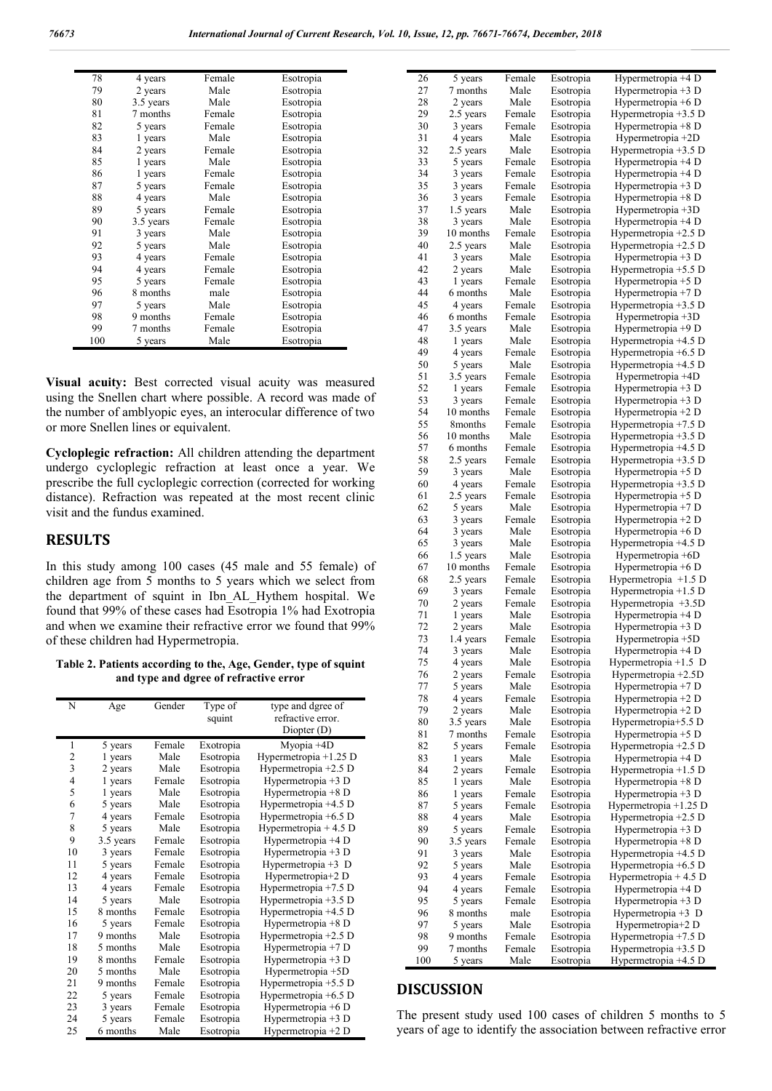| 78  | 4 years   | Female | Esotropia |
|-----|-----------|--------|-----------|
| 79  | 2 years   | Male   | Esotropia |
| 80  | 3.5 years | Male   | Esotropia |
| 81  | 7 months  | Female | Esotropia |
| 82  | 5 years   | Female | Esotropia |
| 83  | 1 years   | Male   | Esotropia |
| 84  | 2 years   | Female | Esotropia |
| 85  | 1 years   | Male   | Esotropia |
| 86  | 1 years   | Female | Esotropia |
| 87  | 5 years   | Female | Esotropia |
| 88  | 4 years   | Male   | Esotropia |
| 89  | 5 years   | Female | Esotropia |
| 90  | 3.5 years | Female | Esotropia |
| 91  | 3 years   | Male   | Esotropia |
| 92  | 5 years   | Male   | Esotropia |
| 93  | 4 years   | Female | Esotropia |
| 94  | 4 years   | Female | Esotropia |
| 95  | 5 years   | Female | Esotropia |
| 96  | 8 months  | male   | Esotropia |
| 97  | 5 years   | Male   | Esotropia |
| 98  | 9 months  | Female | Esotropia |
| 99  | 7 months  | Female | Esotropia |
| 100 | 5 years   | Male   | Esotropia |

**Visual acuity:** Best corrected visual acuity was measured using the Snellen chart where possible. A record was made of the number of amblyopic eyes, an interocular difference of two or more Snellen lines or equivalent.

**Cycloplegic refraction:** All children attending the department undergo cycloplegic refraction at least once a year. We prescribe the full cycloplegic correction (corrected for working distance). Refraction was repeated at the most recent clinic visit and the fundus examined.

## **RESULTS**

In this study among 100 cases (45 male and 55 female) of children age from 5 months to 5 years which we select from the department of squint in Ibn\_AL\_Hythem hospital. We found that 99% of these cases had Esotropia 1% had Exotropia and when we examine their refractive error we found that 99% of these children had Hypermetropia.

**Table 2. Patients according to the, Age, Gender, type of squint and type and dgree of refractive error**

| N              | Age       | Gender | Type of   | type and dgree of      |
|----------------|-----------|--------|-----------|------------------------|
|                |           |        | squint    | refractive error.      |
|                |           |        |           | Diopter (D)            |
| 1              | 5 years   | Female | Exotropia | Myopia +4D             |
| $\overline{2}$ | 1 years   | Male   | Esotropia | Hypermetropia +1.25 D  |
| 3              | 2 years   | Male   | Esotropia | Hypermetropia $+2.5$ D |
| $\overline{4}$ | 1 years   | Female | Esotropia | Hypermetropia +3 D     |
| 5              | 1 years   | Male   | Esotropia | Hypermetropia $+8$ D   |
| 6              | 5 years   | Male   | Esotropia | Hypermetropia +4.5 D   |
| 7              | 4 years   | Female | Esotropia | Hypermetropia +6.5 D   |
| 8              | 5 years   | Male   | Esotropia | Hypermetropia $+4.5$ D |
| 9              | 3.5 years | Female | Esotropia | Hypermetropia +4 D     |
| 10             | 3 years   | Female | Esotropia | Hypermetropia +3 D     |
| 11             | 5 years   | Female | Esotropia | Hypermetropia $+3$ D   |
| 12             | 4 years   | Female | Esotropia | Hypermetropia+2 D      |
| 13             | 4 years   | Female | Esotropia | Hypermetropia $+7.5$ D |
| 14             | 5 years   | Male   | Esotropia | Hypermetropia +3.5 D   |
| 15             | 8 months  | Female | Esotropia | Hypermetropia +4.5 D   |
| 16             | 5 years   | Female | Esotropia | Hypermetropia +8 D     |
| 17             | 9 months  | Male   | Esotropia | Hypermetropia $+2.5$ D |
| 18             | 5 months  | Male   | Esotropia | Hypermetropia $+7$ D   |
| 19             | 8 months  | Female | Esotropia | Hypermetropia $+3$ D   |
| 20             | 5 months  | Male   | Esotropia | Hypermetropia +5D      |
| 21             | 9 months  | Female | Esotropia | Hypermetropia +5.5 D   |
| 22             | 5 years   | Female | Esotropia | Hypermetropia $+6.5$ D |
| 23             | 3 years   | Female | Esotropia | Hypermetropia +6 D     |
| 24             | 5 years   | Female | Esotropia | Hypermetropia +3 D     |
| 25             | 6 months  | Male   | Esotropia | Hypermetropia +2 D     |

| 26       | 5 years              | Female           | Esotropia              | Hypermetropia +4 D                           |
|----------|----------------------|------------------|------------------------|----------------------------------------------|
| 27       | 7 months             | Male             | Esotropia              | Hypermetropia +3 D                           |
| 28       | 2 years              | Male             | Esotropia              | Hypermetropia +6 D                           |
| 29       | 2.5 years            | Female           | Esotropia              | Hypermetropia +3.5 D                         |
| 30       | 3 years              | Female           | Esotropia              | Hypermetropia +8 D                           |
| 31       | 4 years              | Male             | Esotropia              | Hypermetropia +2D                            |
| 32       | 2.5 years            | Male             | Esotropia              | Hypermetropia $+3.5$ D                       |
| 33       | 5 years              | Female           | Esotropia              | Hypermetropia +4 D                           |
| 34       | 3 years              | Female           | Esotropia              | Hypermetropia +4 D                           |
| 35       | 3 years              | Female           | Esotropia              | Hypermetropia +3 D                           |
| 36       | 3 years              | Female           | Esotropia              | Hypermetropia +8 D                           |
| 37       | 1.5 years            | Male             | Esotropia              | Hypermetropia $+3D$                          |
| 38       | 3 years              | Male             | Esotropia              | Hypermetropia +4 D                           |
| 39       | 10 months            | Female           | Esotropia              | Hypermetropia +2.5 D                         |
| 40       | 2.5 years            | Male             | Esotropia              | Hypermetropia +2.5 D                         |
| 41       | 3 years              | Male             | Esotropia              | Hypermetropia +3 D                           |
| 42       | 2 years              | Male             | Esotropia              | Hypermetropia $+5.5$ D                       |
| 43       | 1 years              | Female           | Esotropia              | Hypermetropia +5 D                           |
| 44       | 6 months             | Male             | Esotropia              | Hypermetropia +7 D                           |
| 45       | 4 years              | Female           | Esotropia              | Hypermetropia +3.5 D                         |
| 46       | 6 months             | Female           | Esotropia              | Hypermetropia +3D                            |
| 47       | 3.5 years            | Male             | Esotropia              | Hypermetropia +9 D                           |
| 48       | 1 years              | Male             | Esotropia              | Hypermetropia +4.5 D                         |
| 49       | 4 years              | Female           | Esotropia              | Hypermetropia +6.5 D                         |
| 50       | 5 years              | Male             | Esotropia              | Hypermetropia +4.5 D                         |
| 51       | 3.5 years            | Female           | Esotropia              | Hypermetropia +4D                            |
| 52       | 1 years              | Female           | Esotropia              | Hypermetropia $+3$ D                         |
| 53       | 3 years              | Female           | Esotropia              | Hypermetropia +3 D                           |
| 54       | 10 months            | Female           | Esotropia              | Hypermetropia +2 D                           |
| 55       | 8 <sub>months</sub>  | Female           | Esotropia              | Hypermetropia +7.5 D                         |
| 56       | 10 months            | Male             | Esotropia              | Hypermetropia +3.5 D                         |
| 57       | 6 months             | Female           | Esotropia              | Hypermetropia +4.5 D                         |
| 58       | 2.5 years            | Female           | Esotropia              | Hypermetropia +3.5 D                         |
| 59<br>60 | 3 years              | Male<br>Female   | Esotropia              | Hypermetropia +5 D                           |
| 61       | 4 years              | Female           | Esotropia              | Hypermetropia $+3.5$ D                       |
| 62       | 2.5 years<br>5 years | Male             | Esotropia<br>Esotropia | Hypermetropia +5 D<br>Hypermetropia +7 D     |
| 63       | 3 years              | Female           | Esotropia              | Hypermetropia +2 D                           |
| 64       | 3 years              | Male             | Esotropia              | Hypermetropia +6 D                           |
| 65       | 3 years              | Male             | Esotropia              | Hypermetropia +4.5 D                         |
| 66       | 1.5 years            | Male             | Esotropia              | Hypermetropia +6D                            |
| 67       | 10 months            | Female           | Esotropia              | Hypermetropia +6 D                           |
| 68       | 2.5 years            | Female           | Esotropia              | Hypermetropia $+1.5$ D                       |
| 69       | 3 years              | Female           | Esotropia              | Hypermetropia +1.5 D                         |
| 70       | 2 years              | Female           | Esotropia              | Hypermetropia +3.5D                          |
| 71       | 1 years              | Male             | Esotropia              | Hypermetropia +4 D                           |
| 72       | 2 years              | Male             | Esotropia              | Hypermetropia +3 D                           |
| 73       | 1.4 years            | Female           | Esotropia              | Hypermetropia +5D                            |
| 74       | 3 years              | Male             | Esotropia              | Hypermetropia +4 D                           |
| 75       | 4 years              | Male             | Esotropia              | Hypermetropia +1.5 D                         |
| 76       | 2 years              | Female           | Esotropia              | Hypermetropia +2.5D                          |
| 77       | 5 years              | Male             | Esotropia              | Hypermetropia $+7$ D                         |
| 78       | 4 years              | Female           | Esotropia              | Hypermetropia $+2$ D                         |
| 79       | 2 years              | Male             | Esotropia              | Hypermetropia +2 D                           |
| 80       | 3.5 years            | Male             | Esotropia              | Hypermetropia+5.5 D                          |
| 81       | 7 months             | Female           | Esotropia              | Hypermetropia $+5$ D                         |
| 82       | 5 years              | Female           | Esotropia              | Hypermetropia +2.5 D                         |
| 83       | 1 years              | Male             | Esotropia              | Hypermetropia +4 D                           |
| 84       | 2 years              | Female           | Esotropia              | Hypermetropia +1.5 D                         |
| 85       | 1 years              | Male             | Esotropia              | Hypermetropia $+8$ D                         |
| 86       | 1 years              | Female           | Esotropia              | Hypermetropia $+3$ D                         |
| 87       | 5 years              | Female           | Esotropia              | Hypermetropia +1.25 D                        |
| 88       | 4 years              | Male             | Esotropia              | Hypermetropia $+2.5$ D                       |
| 89       | 5 years              | Female           | Esotropia              | Hypermetropia $+3$ D                         |
| 90       | 3.5 years            | Female           | Esotropia              | Hypermetropia $+8$ D                         |
| 91       | 3 years              | Male             | Esotropia              | Hypermetropia +4.5 D                         |
| 92       | 5 years              | Male             | Esotropia              | Hypermetropia +6.5 D                         |
| 93       | 4 years              | Female           | Esotropia              | Hypermetropia + 4.5 D                        |
|          |                      | Female           | Esotropia              | Hypermetropia +4 D                           |
| 94       | 4 years              |                  |                        |                                              |
| 95       | 5 years              | Female           | Esotropia              | Hypermetropia +3 D                           |
| 96       | 8 months             | male             | Esotropia              | Hypermetropia $+3$ D                         |
| 97       | 5 years              | Male             | Esotropia              | Hypermetropia+2 D                            |
| 98<br>99 | 9 months<br>7 months | Female<br>Female | Esotropia<br>Esotropia | Hypermetropia +7.5 D<br>Hypermetropia +3.5 D |

## **DISCUSSION**

The present study used 100 cases of children 5 months to 5 years of age to identify the association between refractive error